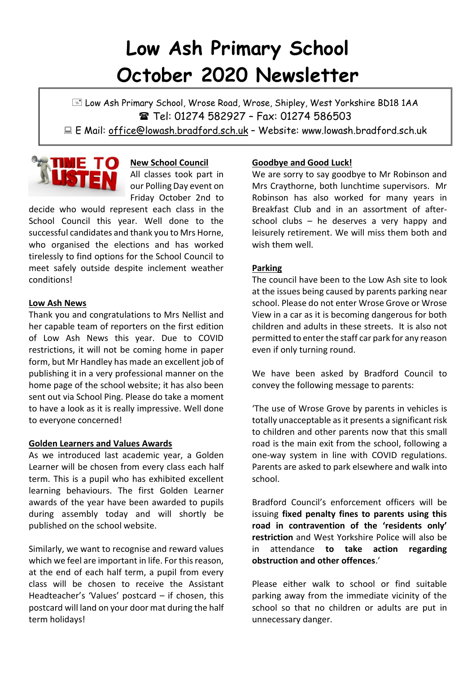# **Low Ash Primary School October 2020 Newsletter**

E Low Ash Primary School, Wrose Road, Wrose, Shipley, West Yorkshire BD18 1AA **■ Tel: 01274 582927 - Fax: 01274 586503** E Mail: office@lowash.bradford.sch.uk – Website: www.lowash.bradford.sch.uk



**New School Council** All classes took part in our Polling Day event on Friday October 2nd to

decide who would represent each class in the School Council this year. Well done to the successful candidates and thank you to Mrs Horne, who organised the elections and has worked tirelessly to find options for the School Council to meet safely outside despite inclement weather conditions!

## **Low Ash News**

Thank you and congratulations to Mrs Nellist and her capable team of reporters on the first edition of Low Ash News this year. Due to COVID restrictions, it will not be coming home in paper form, but Mr Handley has made an excellent job of publishing it in a very professional manner on the home page of the school website; it has also been sent out via School Ping. Please do take a moment to have a look as it is really impressive. Well done to everyone concerned!

#### **Golden Learners and Values Awards**

As we introduced last academic year, a Golden Learner will be chosen from every class each half term. This is a pupil who has exhibited excellent learning behaviours. The first Golden Learner awards of the year have been awarded to pupils during assembly today and will shortly be published on the school website.

Similarly, we want to recognise and reward values which we feel are important in life. For this reason, at the end of each half term, a pupil from every class will be chosen to receive the Assistant Headteacher's 'Values' postcard – if chosen, this postcard will land on your door mat during the half term holidays!

# **Goodbye and Good Luck!**

We are sorry to say goodbye to Mr Robinson and Mrs Craythorne, both lunchtime supervisors. Mr Robinson has also worked for many years in Breakfast Club and in an assortment of afterschool clubs – he deserves a very happy and leisurely retirement. We will miss them both and wish them well.

## **Parking**

The council have been to the Low Ash site to look at the issues being caused by parents parking near school. Please do not enter Wrose Grove or Wrose View in a car as it is becoming dangerous for both children and adults in these streets. It is also not permitted to enter the staff car park for any reason even if only turning round.

We have been asked by Bradford Council to convey the following message to parents:

'The use of Wrose Grove by parents in vehicles is totally unacceptable as it presents a significant risk to children and other parents now that this small road is the main exit from the school, following a one-way system in line with COVID regulations. Parents are asked to park elsewhere and walk into school.

Bradford Council's enforcement officers will be issuing **fixed penalty fines to parents using this road in contravention of the 'residents only' restriction** and West Yorkshire Police will also be in attendance **to take action regarding obstruction and other offences**.'

Please either walk to school or find suitable parking away from the immediate vicinity of the school so that no children or adults are put in unnecessary danger.